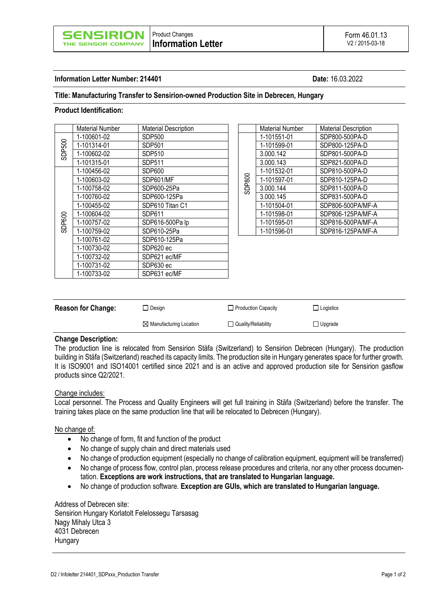## **Information Letter Number: 214401 Date:** 16.03.2022

## **Title: Manufacturing Transfer to Sensirion-owned Production Site in Debrecen, Hungary**

### **Product Identification:**

|        | Material Number | <b>Material Description</b> |  |        | <b>Material Number</b> | <b>Material Description</b> |
|--------|-----------------|-----------------------------|--|--------|------------------------|-----------------------------|
| SDP500 | 1-100601-02     | SDP500                      |  | SDP800 | 1-101551-01            | SDP800-500PA-D              |
|        | 1-101314-01     | <b>SDP501</b>               |  |        | 1-101599-01            | SDP800-125PA-D              |
|        | 1-100602-02     | <b>SDP510</b>               |  |        | 3.000.142              | SDP801-500PA-D              |
|        | 1-101315-01     | SDP511                      |  |        | 3.000.143              | SDP821-500PA-D              |
| SDP600 | 1-100456-02     | SDP600                      |  |        | 1-101532-01            | SDP810-500PA-D              |
|        | 1-100603-02     | SDP601/MF                   |  |        | 1-101597-01            | SDP810-125PA-D              |
|        | 1-100758-02     | SDP600-25Pa                 |  |        | 3.000.144              | SDP811-500PA-D              |
|        | 1-100760-02     | SDP600-125Pa                |  |        | 3.000.145              | SDP831-500PA-D              |
|        | 1-100455-02     | SDP610 Titan C1             |  |        | 1-101504-01            | SDP806-500PA/MF-A           |
|        | 1-100604-02     | SDP611                      |  |        | 1-101598-01            | SDP806-125PA/MF-A           |
|        | 1-100757-02     | SDP616-500Pa lp             |  |        | 1-101595-01            | SDP816-500PA/MF-A           |
|        | 1-100759-02     | SDP610-25Pa                 |  |        | 1-101596-01            | SDP816-125PA/MF-A           |
|        | 1-100761-02     | SDP610-125Pa                |  |        |                        |                             |
|        | 1-100730-02     | SDP620 ec                   |  |        |                        |                             |
|        | 1-100732-02     | SDP621 ec/MF                |  |        |                        |                             |
|        | 1-100731-02     | SDP630 ec                   |  |        |                        |                             |
|        | 1-100733-02     | SDP631 ec/MF                |  |        |                        |                             |

|        | <b>Material Number</b> | <b>Material Description</b> |  |  |
|--------|------------------------|-----------------------------|--|--|
|        | 1-101551-01            | SDP800-500PA-D              |  |  |
| SDP800 | 1-101599-01            | SDP800-125PA-D              |  |  |
|        | 3.000.142              | SDP801-500PA-D              |  |  |
|        | 3.000.143              | SDP821-500PA-D              |  |  |
|        | 1-101532-01            | SDP810-500PA-D              |  |  |
|        | 1-101597-01            | SDP810-125PA-D              |  |  |
|        | 3.000.144              | SDP811-500PA-D              |  |  |
|        | 3.000.145              | SDP831-500PA-D              |  |  |
|        | 1-101504-01            | SDP806-500PA/MF-A           |  |  |
|        | 1-101598-01            | SDP806-125PA/MF-A           |  |  |
|        | 1-101595-01            | SDP816-500PA/MF-A           |  |  |
|        | 1.101506.01            | $CDD816_195D\Delta/MF_4$    |  |  |

| <b>Reason for Change:</b> | □ Design                           | Production Capacity | $\Box$ Logistics |
|---------------------------|------------------------------------|---------------------|------------------|
|                           | $\boxtimes$ Manufacturing Location | Quality/Reliability | □ Upgrade        |

### **Change Description:**

The production line is relocated from Sensirion Stäfa (Switzerland) to Sensirion Debrecen (Hungary). The production building in Stäfa (Switzerland) reached its capacity limits. The production site in Hungary generates space for further growth. It is ISO9001 and ISO14001 certified since 2021 and is an active and approved production site for Sensirion gasflow products since Q2/2021.

#### Change includes:

Local personnel. The Process and Quality Engineers will get full training in Stäfa (Switzerland) before the transfer. The training takes place on the same production line that will be relocated to Debrecen (Hungary).

#### No change of:

- No change of form, fit and function of the product
- No change of supply chain and direct materials used
- No change of production equipment (especially no change of calibration equipment, equipment will be transferred)
- No change of process flow, control plan, process release procedures and criteria, nor any other process documentation. **Exceptions are work instructions, that are translated to Hungarian language.**
- No change of production software. **Exception are GUIs, which are translated to Hungarian language.**

Address of Debrecen site: Sensirion Hungary Korlatolt Felelossegu Tarsasag Nagy Mihaly Utca 3 4031 Debrecen **Hungary**